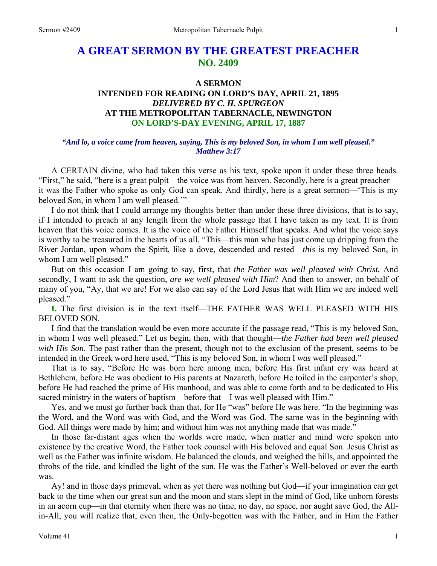# **A GREAT SERMON BY THE GREATEST PREACHER NO. 2409**

### **A SERMON**

## **INTENDED FOR READING ON LORD'S DAY, APRIL 21, 1895**  *DELIVERED BY C. H. SPURGEON*  **AT THE METROPOLITAN TABERNACLE, NEWINGTON ON LORD'S-DAY EVENING, APRIL 17, 1887**

### *"And lo, a voice came from heaven, saying, This is my beloved Son, in whom I am well pleased." Matthew 3:17*

A CERTAIN divine, who had taken this verse as his text, spoke upon it under these three heads. "First," he said, "here is a great pulpit—the voice was from heaven. Secondly, here is a great preacher it was the Father who spoke as only God can speak. And thirdly, here is a great sermon—'This is my beloved Son, in whom I am well pleased."

I do not think that I could arrange my thoughts better than under these three divisions, that is to say, if I intended to preach at any length from the whole passage that I have taken as my text. It is from heaven that this voice comes. It is the voice of the Father Himself that speaks. And what the voice says is worthy to be treasured in the hearts of us all. "This—this man who has just come up dripping from the River Jordan, upon whom the Spirit, like a dove, descended and rested—*this* is my beloved Son, in whom I am well pleased."

But on this occasion I am going to say, first, that *the Father was well pleased with Christ.* And secondly, I want to ask the question, *are we well pleased with Him*? And then to answer, on behalf of many of you, "Ay, that we are! For we also can say of the Lord Jesus that with Him we are indeed well pleased."

**I.** The first division is in the text itself—THE FATHER WAS WELL PLEASED WITH HIS BELOVED SON.

I find that the translation would be even more accurate if the passage read, "This is my beloved Son, in whom I *was* well pleased." Let us begin, then, with that thought—*the Father had been well pleased with His Son*. The past rather than the present, though not to the exclusion of the present, seems to be intended in the Greek word here used, "This is my beloved Son, in whom I *was* well pleased."

That is to say, "Before He was born here among men, before His first infant cry was heard at Bethlehem, before He was obedient to His parents at Nazareth, before He toiled in the carpenter's shop, before He had reached the prime of His manhood, and was able to come forth and to be dedicated to His sacred ministry in the waters of baptism—before that—I was well pleased with Him."

Yes, and we must go further back than that, for He "was" before He was here. "In the beginning was the Word, and the Word was with God, and the Word was God. The same was in the beginning with God. All things were made by him; and without him was not anything made that was made."

In those far-distant ages when the worlds were made, when matter and mind were spoken into existence by the creative Word, the Father took counsel with His beloved and equal Son. Jesus Christ as well as the Father was infinite wisdom. He balanced the clouds, and weighed the hills, and appointed the throbs of the tide, and kindled the light of the sun. He was the Father's Well-beloved or ever the earth was.

Ay! and in those days primeval, when as yet there was nothing but God—if your imagination can get back to the time when our great sun and the moon and stars slept in the mind of God, like unborn forests in an acorn cup—in that eternity when there was no time, no day, no space, nor aught save God, the Allin-All, you will realize that, even then, the Only-begotten was with the Father, and in Him the Father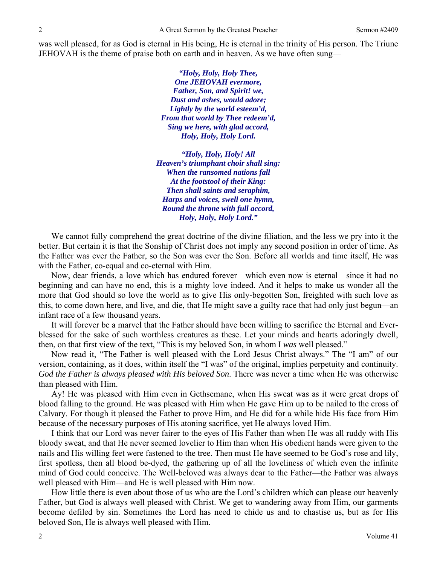was well pleased, for as God is eternal in His being, He is eternal in the trinity of His person. The Triune JEHOVAH is the theme of praise both on earth and in heaven. As we have often sung—

> *"Holy, Holy, Holy Thee, One JEHOVAH evermore, Father, Son, and Spirit! we, Dust and ashes, would adore; Lightly by the world esteem'd, From that world by Thee redeem'd, Sing we here, with glad accord, Holy, Holy, Holy Lord.*

*"Holy, Holy, Holy! All Heaven's triumphant choir shall sing: When the ransomed nations fall At the footstool of their King: Then shall saints and seraphim, Harps and voices, swell one hymn, Round the throne with full accord, Holy, Holy, Holy Lord."* 

We cannot fully comprehend the great doctrine of the divine filiation, and the less we pry into it the better. But certain it is that the Sonship of Christ does not imply any second position in order of time. As the Father was ever the Father, so the Son was ever the Son. Before all worlds and time itself, He was with the Father, co-equal and co-eternal with Him.

Now, dear friends, a love which has endured forever—which even now is eternal—since it had no beginning and can have no end, this is a mighty love indeed. And it helps to make us wonder all the more that God should so love the world as to give His only-begotten Son, freighted with such love as this, to come down here, and live, and die, that He might save a guilty race that had only just begun—an infant race of a few thousand years.

It will forever be a marvel that the Father should have been willing to sacrifice the Eternal and Everblessed for the sake of such worthless creatures as these. Let your minds and hearts adoringly dwell, then, on that first view of the text, "This is my beloved Son, in whom I *was* well pleased."

Now read it, "The Father is well pleased with the Lord Jesus Christ always." The "I am" of our version, containing, as it does, within itself the "I was" of the original, implies perpetuity and continuity. *God the Father is always pleased with His beloved Son*. There was never a time when He was otherwise than pleased with Him.

Ay! He was pleased with Him even in Gethsemane, when His sweat was as it were great drops of blood falling to the ground. He was pleased with Him when He gave Him up to be nailed to the cross of Calvary. For though it pleased the Father to prove Him, and He did for a while hide His face from Him because of the necessary purposes of His atoning sacrifice, yet He always loved Him.

I think that our Lord was never fairer to the eyes of His Father than when He was all ruddy with His bloody sweat, and that He never seemed lovelier to Him than when His obedient hands were given to the nails and His willing feet were fastened to the tree. Then must He have seemed to be God's rose and lily, first spotless, then all blood be-dyed, the gathering up of all the loveliness of which even the infinite mind of God could conceive. The Well-beloved was always dear to the Father—the Father was always well pleased with Him—and He is well pleased with Him now.

How little there is even about those of us who are the Lord's children which can please our heavenly Father, but God is always well pleased with Christ. We get to wandering away from Him, our garments become defiled by sin. Sometimes the Lord has need to chide us and to chastise us, but as for His beloved Son, He is always well pleased with Him.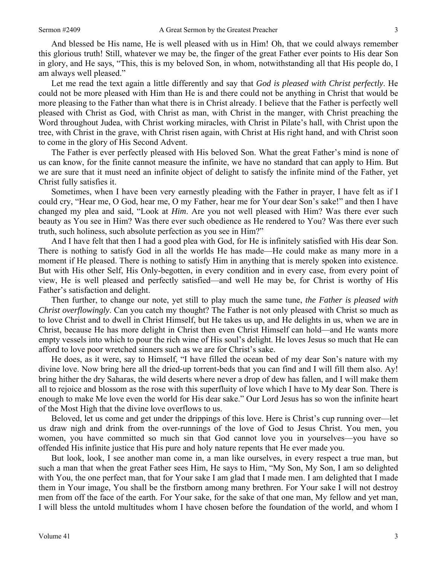And blessed be His name, He is well pleased with us in Him! Oh, that we could always remember this glorious truth! Still, whatever we may be, the finger of the great Father ever points to His dear Son in glory, and He says, "This, this is my beloved Son, in whom, notwithstanding all that His people do, I am always well pleased."

Let me read the text again a little differently and say that *God is pleased with Christ perfectly*. He could not be more pleased with Him than He is and there could not be anything in Christ that would be more pleasing to the Father than what there is in Christ already. I believe that the Father is perfectly well pleased with Christ as God, with Christ as man, with Christ in the manger, with Christ preaching the Word throughout Judea, with Christ working miracles, with Christ in Pilate's hall, with Christ upon the tree, with Christ in the grave, with Christ risen again, with Christ at His right hand, and with Christ soon to come in the glory of His Second Advent.

The Father is ever perfectly pleased with His beloved Son. What the great Father's mind is none of us can know, for the finite cannot measure the infinite, we have no standard that can apply to Him. But we are sure that it must need an infinite object of delight to satisfy the infinite mind of the Father, yet Christ fully satisfies it.

Sometimes, when I have been very earnestly pleading with the Father in prayer, I have felt as if I could cry, "Hear me, O God, hear me, O my Father, hear me for Your dear Son's sake!" and then I have changed my plea and said, "Look at *Him*. Are you not well pleased with Him? Was there ever such beauty as You see in Him? Was there ever such obedience as He rendered to You? Was there ever such truth, such holiness, such absolute perfection as you see in Him?"

And I have felt that then I had a good plea with God, for He is infinitely satisfied with His dear Son. There is nothing to satisfy God in all the worlds He has made—He could make as many more in a moment if He pleased. There is nothing to satisfy Him in anything that is merely spoken into existence. But with His other Self, His Only-begotten, in every condition and in every case, from every point of view, He is well pleased and perfectly satisfied—and well He may be, for Christ is worthy of His Father's satisfaction and delight.

Then further, to change our note, yet still to play much the same tune, *the Father is pleased with Christ overflowingly*. Can you catch my thought? The Father is not only pleased with Christ so much as to love Christ and to dwell in Christ Himself, but He takes us up, and He delights in us, when we are in Christ, because He has more delight in Christ then even Christ Himself can hold—and He wants more empty vessels into which to pour the rich wine of His soul's delight. He loves Jesus so much that He can afford to love poor wretched sinners such as we are for Christ's sake.

He does, as it were, say to Himself, "I have filled the ocean bed of my dear Son's nature with my divine love. Now bring here all the dried-up torrent-beds that you can find and I will fill them also. Ay! bring hither the dry Saharas, the wild deserts where never a drop of dew has fallen, and I will make them all to rejoice and blossom as the rose with this superfluity of love which I have to My dear Son. There is enough to make Me love even the world for His dear sake." Our Lord Jesus has so won the infinite heart of the Most High that the divine love overflows to us.

Beloved, let us come and get under the drippings of this love. Here is Christ's cup running over—let us draw nigh and drink from the over-runnings of the love of God to Jesus Christ. You men, you women, you have committed so much sin that God cannot love you in yourselves—you have so offended His infinite justice that His pure and holy nature repents that He ever made you.

But look, look, I see another man come in, a man like ourselves, in every respect a true man, but such a man that when the great Father sees Him, He says to Him, "My Son, My Son, I am so delighted with You, the one perfect man, that for Your sake I am glad that I made men. I am delighted that I made them in Your image, You shall be the firstborn among many brethren. For Your sake I will not destroy men from off the face of the earth. For Your sake, for the sake of that one man, My fellow and yet man, I will bless the untold multitudes whom I have chosen before the foundation of the world, and whom I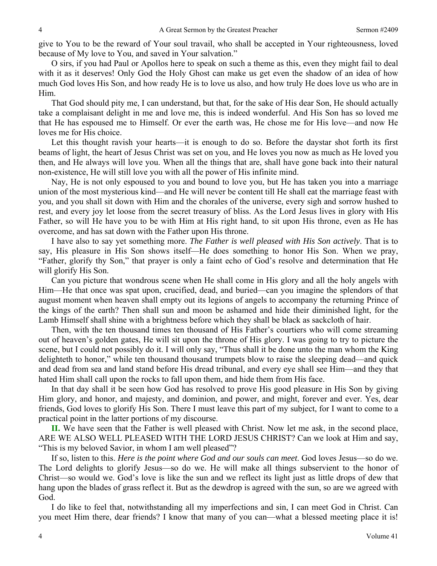give to You to be the reward of Your soul travail, who shall be accepted in Your righteousness, loved because of My love to You, and saved in Your salvation."

O sirs, if you had Paul or Apollos here to speak on such a theme as this, even they might fail to deal with it as it deserves! Only God the Holy Ghost can make us get even the shadow of an idea of how much God loves His Son, and how ready He is to love us also, and how truly He does love us who are in Him.

That God should pity me, I can understand, but that, for the sake of His dear Son, He should actually take a complaisant delight in me and love me, this is indeed wonderful. And His Son has so loved me that He has espoused me to Himself. Or ever the earth was, He chose me for His love—and now He loves me for His choice.

Let this thought ravish your hearts—it is enough to do so. Before the daystar shot forth its first beams of light, the heart of Jesus Christ was set on you, and He loves you now as much as He loved you then, and He always will love you. When all the things that are, shall have gone back into their natural non-existence, He will still love you with all the power of His infinite mind.

Nay, He is not only espoused to you and bound to love you, but He has taken you into a marriage union of the most mysterious kind—and He will never be content till He shall eat the marriage feast with you, and you shall sit down with Him and the chorales of the universe, every sigh and sorrow hushed to rest, and every joy let loose from the secret treasury of bliss. As the Lord Jesus lives in glory with His Father, so will He have you to be with Him at His right hand, to sit upon His throne, even as He has overcome, and has sat down with the Father upon His throne.

I have also to say yet something more. *The Father is well pleased with His Son actively*. That is to say, His pleasure in His Son shows itself—He does something to honor His Son. When we pray, "Father, glorify thy Son," that prayer is only a faint echo of God's resolve and determination that He will glorify His Son.

Can you picture that wondrous scene when He shall come in His glory and all the holy angels with Him—He that once was spat upon, crucified, dead, and buried—can you imagine the splendors of that august moment when heaven shall empty out its legions of angels to accompany the returning Prince of the kings of the earth? Then shall sun and moon be ashamed and hide their diminished light, for the Lamb Himself shall shine with a brightness before which they shall be black as sackcloth of hair.

Then, with the ten thousand times ten thousand of His Father's courtiers who will come streaming out of heaven's golden gates, He will sit upon the throne of His glory. I was going to try to picture the scene, but I could not possibly do it. I will only say, "Thus shall it be done unto the man whom the King delighteth to honor," while ten thousand thousand trumpets blow to raise the sleeping dead—and quick and dead from sea and land stand before His dread tribunal, and every eye shall see Him—and they that hated Him shall call upon the rocks to fall upon them, and hide them from His face.

In that day shall it be seen how God has resolved to prove His good pleasure in His Son by giving Him glory, and honor, and majesty, and dominion, and power, and might, forever and ever. Yes, dear friends, God loves to glorify His Son. There I must leave this part of my subject, for I want to come to a practical point in the latter portions of my discourse.

**II.** We have seen that the Father is well pleased with Christ. Now let me ask, in the second place, ARE WE ALSO WELL PLEASED WITH THE LORD JESUS CHRIST? Can we look at Him and say, "This is my beloved Savior, in whom I am well pleased"?

If so, listen to this. *Here is the point where God and our souls can meet*. God loves Jesus—so do we. The Lord delights to glorify Jesus—so do we. He will make all things subservient to the honor of Christ—so would we. God's love is like the sun and we reflect its light just as little drops of dew that hang upon the blades of grass reflect it. But as the dewdrop is agreed with the sun, so are we agreed with God.

I do like to feel that, notwithstanding all my imperfections and sin, I can meet God in Christ. Can you meet Him there, dear friends? I know that many of you can—what a blessed meeting place it is!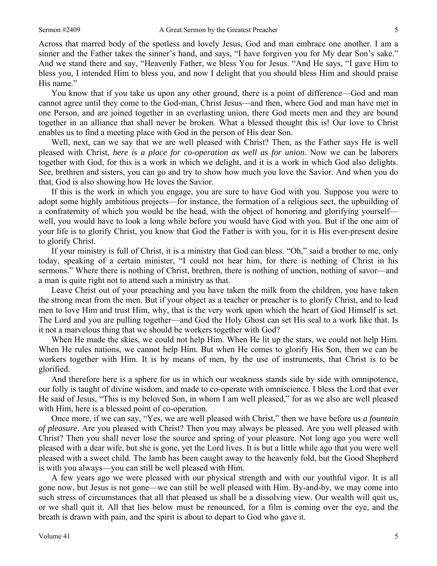Across that marred body of the spotless and lovely Jesus, God and man embrace one another. I am a sinner and the Father takes the sinner's hand, and says, "I have forgiven you for My dear Son's sake." And we stand there and say, "Heavenly Father, we bless You for Jesus. "And He says, "I gave Him to bless you, I intended Him to bless you, and now I delight that you should bless Him and should praise His name."

You know that if you take us upon any other ground, there is a point of difference—God and man cannot agree until they come to the God-man, Christ Jesus—and then, where God and man have met in one Person, and are joined together in an everlasting union, there God meets men and they are bound together in an alliance that shall never be broken. What a blessed thought this is! Our love to Christ enables us to find a meeting place with God in the person of His dear Son.

Well, next, can we say that we are well pleased with Christ? Then, as the Father says He is well pleased with Christ, *here is a place for co-operation as well as for union*. Now we can be laborers together with God, for this is a work in which we delight, and it is a work in which God also delights. See, brethren and sisters, you can go and try to show how much you love the Savior. And when you do that, God is also showing how He loves the Savior.

If this is the work in which you engage, you are sure to have God with you. Suppose you were to adopt some highly ambitious projects—for instance, the formation of a religious sect, the upbuilding of a confraternity of which you would be the head, with the object of honoring and glorifying yourself well, you would have to look a long while before you would have God with you. But if the one aim of your life is to glorify Christ, you know that God the Father is with you, for it is His ever-present desire to glorify Christ.

If your ministry is full of Christ, it is a ministry that God can bless. "Oh," said a brother to me, only today, speaking of a certain minister, "I could not hear him, for there is nothing of Christ in his sermons." Where there is nothing of Christ, brethren, there is nothing of unction, nothing of savor—and a man is quite right not to attend such a ministry as that.

Leave Christ out of your preaching and you have taken the milk from the children, you have taken the strong meat from the men. But if your object as a teacher or preacher is to glorify Christ, and to lead men to love Him and trust Him, why, that is the very work upon which the heart of God Himself is set. The Lord and you are pulling together—and God the Holy Ghost can set His seal to a work like that. Is it not a marvelous thing that we should be workers together with God?

When He made the skies, we could not help Him. When He lit up the stars, we could not help Him. When He rules nations, we cannot help Him. But when He comes to glorify His Son, then we can be workers together with Him. It is by means of men, by the use of instruments, that Christ is to be glorified.

And therefore here is a sphere for us in which our weakness stands side by side with omnipotence, our folly is taught of divine wisdom, and made to co-operate with omniscience. I bless the Lord that ever He said of Jesus, "This is my beloved Son, in whom I am well pleased," for as we also are well pleased with Him, here is a blessed point of co-operation.

Once more, if we can say, "Yes, we are well pleased with Christ," then we have before us *a fountain of pleasure*. Are you pleased with Christ? Then you may always be pleased. Are you well pleased with Christ? Then you shall never lose the source and spring of your pleasure. Not long ago you were well pleased with a dear wife, but she is gone, yet the Lord lives. It is but a little while ago that you were well pleased with a sweet child. The lamb has been caught away to the heavenly fold, but the Good Shepherd is with you always—you can still be well pleased with Him.

A few years ago we were pleased with our physical strength and with our youthful vigor. It is all gone now, but Jesus is not gone—we can still be well pleased with Him. By-and-by, we may come into such stress of circumstances that all that pleased us shall be a dissolving view. Our wealth will quit us, or we shall quit it. All that lies below must be renounced, for a film is coming over the eye, and the breath is drawn with pain, and the spirit is about to depart to God who gave it.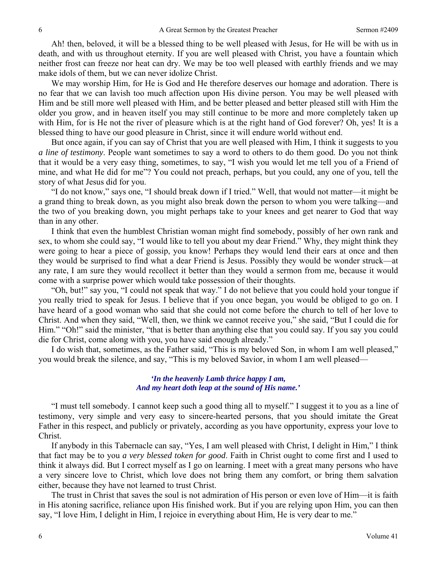Ah! then, beloved, it will be a blessed thing to be well pleased with Jesus, for He will be with us in death, and with us throughout eternity. If you are well pleased with Christ, you have a fountain which neither frost can freeze nor heat can dry. We may be too well pleased with earthly friends and we may make idols of them, but we can never idolize Christ.

We may worship Him, for He is God and He therefore deserves our homage and adoration. There is no fear that we can lavish too much affection upon His divine person. You may be well pleased with Him and be still more well pleased with Him, and be better pleased and better pleased still with Him the older you grow, and in heaven itself you may still continue to be more and more completely taken up with Him, for is He not the river of pleasure which is at the right hand of God forever? Oh, yes! It is a blessed thing to have our good pleasure in Christ, since it will endure world without end.

But once again, if you can say of Christ that you are well pleased with Him, I think it suggests to you *a line of testimony*. People want sometimes to say a word to others to do them good. Do you not think that it would be a very easy thing, sometimes, to say, "I wish you would let me tell you of a Friend of mine, and what He did for me"? You could not preach, perhaps, but you could, any one of you, tell the story of what Jesus did for you.

"I do not know," says one, "I should break down if I tried." Well, that would not matter—it might be a grand thing to break down, as you might also break down the person to whom you were talking—and the two of you breaking down, you might perhaps take to your knees and get nearer to God that way than in any other.

I think that even the humblest Christian woman might find somebody, possibly of her own rank and sex, to whom she could say, "I would like to tell you about my dear Friend." Why, they might think they were going to hear a piece of gossip, you know! Perhaps they would lend their ears at once and then they would be surprised to find what a dear Friend is Jesus. Possibly they would be wonder struck—at any rate, I am sure they would recollect it better than they would a sermon from me, because it would come with a surprise power which would take possession of their thoughts.

"Oh, but!" say you, "I could not speak that way." I do not believe that you could hold your tongue if you really tried to speak for Jesus. I believe that if you once began, you would be obliged to go on. I have heard of a good woman who said that she could not come before the church to tell of her love to Christ. And when they said, "Well, then, we think we cannot receive you," she said, "But I could die for Him." "Oh!" said the minister, "that is better than anything else that you could say. If you say you could die for Christ, come along with you, you have said enough already."

I do wish that, sometimes, as the Father said, "This is my beloved Son, in whom I am well pleased," you would break the silence, and say, "This is my beloved Savior, in whom I am well pleased—

#### *'In the heavenly Lamb thrice happy I am, And my heart doth leap at the sound of His name.'*

"I must tell somebody. I cannot keep such a good thing all to myself." I suggest it to you as a line of testimony, very simple and very easy to sincere-hearted persons, that you should imitate the Great Father in this respect, and publicly or privately, according as you have opportunity, express your love to Christ.

If anybody in this Tabernacle can say, "Yes, I am well pleased with Christ, I delight in Him," I think that fact may be to you *a very blessed token for good*. Faith in Christ ought to come first and I used to think it always did. But I correct myself as I go on learning. I meet with a great many persons who have a very sincere love to Christ, which love does not bring them any comfort, or bring them salvation either, because they have not learned to trust Christ.

The trust in Christ that saves the soul is not admiration of His person or even love of Him—it is faith in His atoning sacrifice, reliance upon His finished work. But if you are relying upon Him, you can then say, "I love Him, I delight in Him, I rejoice in everything about Him, He is very dear to me."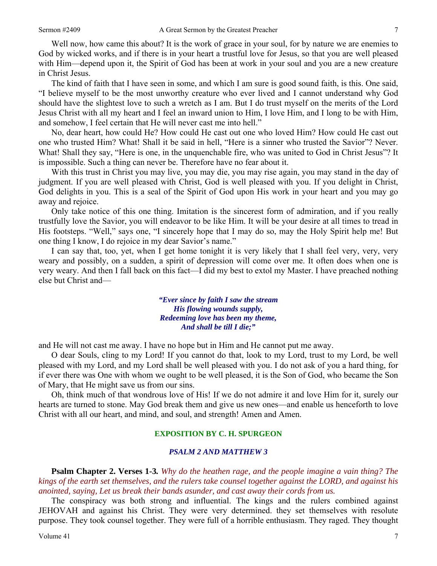Well now, how came this about? It is the work of grace in your soul, for by nature we are enemies to God by wicked works, and if there is in your heart a trustful love for Jesus, so that you are well pleased with Him—depend upon it, the Spirit of God has been at work in your soul and you are a new creature in Christ Jesus.

The kind of faith that I have seen in some, and which I am sure is good sound faith, is this. One said, "I believe myself to be the most unworthy creature who ever lived and I cannot understand why God should have the slightest love to such a wretch as I am. But I do trust myself on the merits of the Lord Jesus Christ with all my heart and I feel an inward union to Him, I love Him, and I long to be with Him, and somehow, I feel certain that He will never cast me into hell."

No, dear heart, how could He? How could He cast out one who loved Him? How could He cast out one who trusted Him? What! Shall it be said in hell, "Here is a sinner who trusted the Savior"? Never. What! Shall they say, "Here is one, in the unquenchable fire, who was united to God in Christ Jesus"? It is impossible. Such a thing can never be. Therefore have no fear about it.

With this trust in Christ you may live, you may die, you may rise again, you may stand in the day of judgment. If you are well pleased with Christ, God is well pleased with you. If you delight in Christ, God delights in you. This is a seal of the Spirit of God upon His work in your heart and you may go away and rejoice.

Only take notice of this one thing. Imitation is the sincerest form of admiration, and if you really trustfully love the Savior, you will endeavor to be like Him. It will be your desire at all times to tread in His footsteps. "Well," says one, "I sincerely hope that I may do so, may the Holy Spirit help me! But one thing I know, I do rejoice in my dear Savior's name."

I can say that, too, yet, when I get home tonight it is very likely that I shall feel very, very, very weary and possibly, on a sudden, a spirit of depression will come over me. It often does when one is very weary. And then I fall back on this fact—I did my best to extol my Master. I have preached nothing else but Christ and—

> *"Ever since by faith I saw the stream His flowing wounds supply, Redeeming love has been my theme, And shall be till I die;"*

and He will not cast me away. I have no hope but in Him and He cannot put me away.

O dear Souls, cling to my Lord! If you cannot do that, look to my Lord, trust to my Lord, be well pleased with my Lord, and my Lord shall be well pleased with you. I do not ask of you a hard thing, for if ever there was One with whom we ought to be well pleased, it is the Son of God, who became the Son of Mary, that He might save us from our sins.

Oh, think much of that wondrous love of His! If we do not admire it and love Him for it, surely our hearts are turned to stone. May God break them and give us new ones—and enable us henceforth to love Christ with all our heart, and mind, and soul, and strength! Amen and Amen.

#### **EXPOSITION BY C. H. SPURGEON**

#### *PSALM 2 AND MATTHEW 3*

**Psalm Chapter 2. Verses 1***-***3***. Why do the heathen rage, and the people imagine a vain thing? The kings of the earth set themselves, and the rulers take counsel together against the LORD, and against his anointed, saying, Let us break their bands asunder, and cast away their cords from us.* 

The conspiracy was both strong and influential. The kings and the rulers combined against JEHOVAH and against his Christ. They were very determined. they set themselves with resolute purpose. They took counsel together. They were full of a horrible enthusiasm. They raged. They thought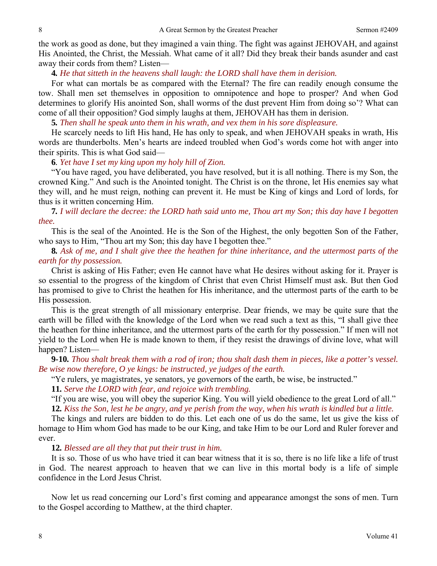the work as good as done, but they imagined a vain thing. The fight was against JEHOVAH, and against His Anointed, the Christ, the Messiah. What came of it all? Did they break their bands asunder and cast away their cords from them? Listen—

**4***. He that sitteth in the heavens shall laugh: the LORD shall have them in derision.*

For what can mortals be as compared with the Eternal? The fire can readily enough consume the tow. Shall men set themselves in opposition to omnipotence and hope to prosper? And when God determines to glorify His anointed Son, shall worms of the dust prevent Him from doing so'? What can come of all their opposition? God simply laughs at them, JEHOVAH has them in derision.

**5***. Then shall he speak unto them in his wrath, and vex them in his sore displeasure.*

He scarcely needs to lift His hand, He has only to speak, and when JEHOVAH speaks in wrath, His words are thunderbolts. Men's hearts are indeed troubled when God's words come hot with anger into their spirits. This is what God said—

**6***. Yet have I set my king upon my holy hill of Zion.*

"You have raged, you have deliberated, you have resolved, but it is all nothing. There is my Son, the crowned King." And such is the Anointed tonight. The Christ is on the throne, let His enemies say what they will, and he must reign, nothing can prevent it. He must be King of kings and Lord of lords, for thus is it written concerning Him.

**7***. I will declare the decree: the LORD hath said unto me, Thou art my Son; this day have I begotten thee.*

This is the seal of the Anointed. He is the Son of the Highest, the only begotten Son of the Father, who says to Him, "Thou art my Son; this day have I begotten thee."

**8***. Ask of me, and I shalt give thee the heathen for thine inheritance, and the uttermost parts of the earth for thy possession.* 

Christ is asking of His Father; even He cannot have what He desires without asking for it. Prayer is so essential to the progress of the kingdom of Christ that even Christ Himself must ask. But then God has promised to give to Christ the heathen for His inheritance, and the uttermost parts of the earth to be His possession.

This is the great strength of all missionary enterprise. Dear friends, we may be quite sure that the earth will be filled with the knowledge of the Lord when we read such a text as this, "I shall give thee the heathen for thine inheritance, and the uttermost parts of the earth for thy possession." If men will not yield to the Lord when He is made known to them, if they resist the drawings of divine love, what will happen? Listen—

**9***-***10***. Thou shalt break them with a rod of iron; thou shalt dash them in pieces, like a potter's vessel. Be wise now therefore, O ye kings: be instructed, ye judges of the earth.*

"Ye rulers, ye magistrates, ye senators, ye governors of the earth, be wise, be instructed."

**11***. Serve the LORD with fear, and rejoice with trembling.*

"If you are wise, you will obey the superior King. You will yield obedience to the great Lord of all." **12***. Kiss the Son, lest he be angry, and ye perish from the way, when his wrath is kindled but a little.* 

The kings and rulers are bidden to do this. Let each one of us do the same, let us give the kiss of homage to Him whom God has made to be our King, and take Him to be our Lord and Ruler forever and ever.

**12***. Blessed are all they that put their trust in him.*

It is so. Those of us who have tried it can bear witness that it is so, there is no life like a life of trust in God. The nearest approach to heaven that we can live in this mortal body is a life of simple confidence in the Lord Jesus Christ.

Now let us read concerning our Lord's first coming and appearance amongst the sons of men. Turn to the Gospel according to Matthew, at the third chapter.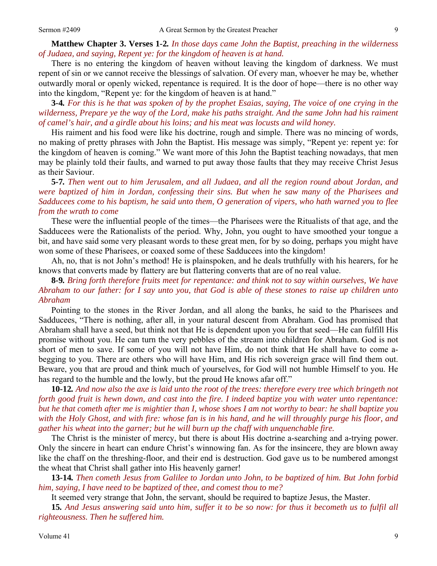**Matthew Chapter 3. Verses 1***-***2***. In those days came John the Baptist, preaching in the wilderness of Judaea, and saying, Repent ye: for the kingdom of heaven is at hand.*

There is no entering the kingdom of heaven without leaving the kingdom of darkness. We must repent of sin or we cannot receive the blessings of salvation. Of every man, whoever he may be, whether outwardly moral or openly wicked, repentance is required. It is the door of hope—there is no other way into the kingdom, "Repent ye: for the kingdom of heaven is at hand."

**3***-***4***. For this is he that was spoken of by the prophet Esaias, saying, The voice of one crying in the wilderness, Prepare ye the way of the Lord, make his paths straight. And the same John had his raiment of camel's hair, and a girdle about his loins; and his meat was locusts and wild honey.*

His raiment and his food were like his doctrine, rough and simple. There was no mincing of words, no making of pretty phrases with John the Baptist. His message was simply, "Repent ye: repent ye: for the kingdom of heaven is coming." We want more of this John the Baptist teaching nowadays, that men may be plainly told their faults, and warned to put away those faults that they may receive Christ Jesus as their Saviour.

**5***-***7***. Then went out to him Jerusalem, and all Judaea, and all the region round about Jordan, and were baptized of him in Jordan, confessing their sins. But when he saw many of the Pharisees and Sadducees come to his baptism, he said unto them, O generation of vipers, who hath warned you to flee from the wrath to come* 

These were the influential people of the times—the Pharisees were the Ritualists of that age, and the Sadducees were the Rationalists of the period. Why, John, you ought to have smoothed your tongue a bit, and have said some very pleasant words to these great men, for by so doing, perhaps you might have won some of these Pharisees, or coaxed some of these Sadducees into the kingdom!

Ah, no, that is not John's method! He is plainspoken, and he deals truthfully with his hearers, for he knows that converts made by flattery are but flattering converts that are of no real value.

### **8***-***9***. Bring forth therefore fruits meet for repentance: and think not to say within ourselves, We have Abraham to our father: for I say unto you, that God is able of these stones to raise up children unto Abraham*

Pointing to the stones in the River Jordan, and all along the banks, he said to the Pharisees and Sadducees, "There is nothing, after all, in your natural descent from Abraham. God has promised that Abraham shall have a seed, but think not that He is dependent upon you for that seed—He can fulfill His promise without you. He can turn the very pebbles of the stream into children for Abraham. God is not short of men to save. If some of you will not have Him, do not think that He shall have to come abegging to you. There are others who will have Him, and His rich sovereign grace will find them out. Beware, you that are proud and think much of yourselves, for God will not humble Himself to you. He has regard to the humble and the lowly, but the proud He knows afar off."

**10***-***12***. And now also the axe is laid unto the root of the trees: therefore every tree which bringeth not forth good fruit is hewn down, and cast into the fire. I indeed baptize you with water unto repentance: but he that cometh after me is mightier than I, whose shoes I am not worthy to bear: he shall baptize you with the Holy Ghost, and with fire: whose fan is in his hand, and he will throughly purge his floor, and gather his wheat into the garner; but he will burn up the chaff with unquenchable fire.*

The Christ is the minister of mercy, but there is about His doctrine a-searching and a-trying power. Only the sincere in heart can endure Christ's winnowing fan. As for the insincere, they are blown away like the chaff on the threshing-floor, and their end is destruction. God gave us to be numbered amongst the wheat that Christ shall gather into His heavenly garner!

**13***-***14***. Then cometh Jesus from Galilee to Jordan unto John, to be baptized of him. But John forbid him, saying, I have need to be baptized of thee, and comest thou to me?*

It seemed very strange that John, the servant, should be required to baptize Jesus, the Master.

**15***. And Jesus answering said unto him, suffer it to be so now: for thus it becometh us to fulfil all righteousness. Then he suffered him.*